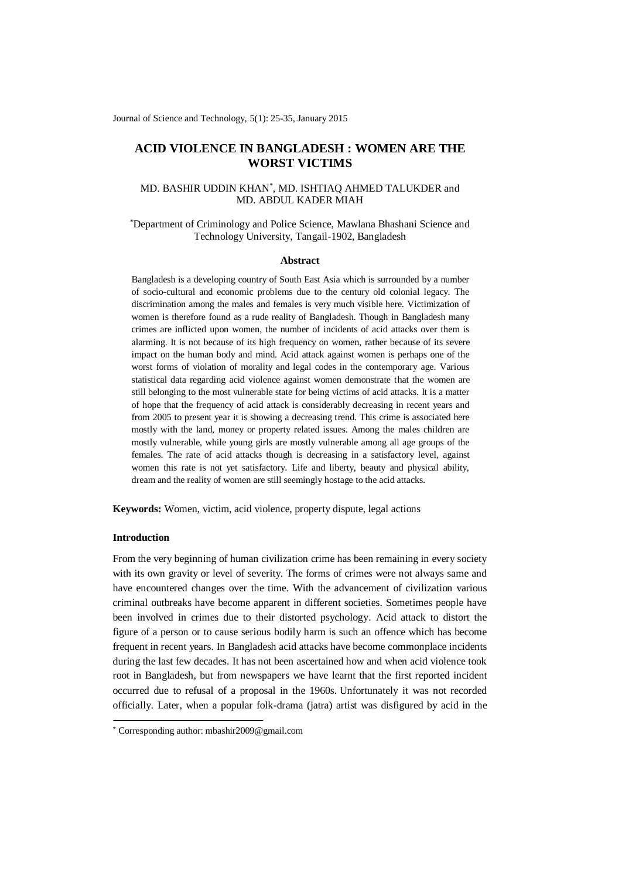Journal of Science and Technology, 5(1): 25-35, January 2015

# **ACID VIOLENCE IN BANGLADESH : WOMEN ARE THE WORST VICTIMS**

# MD. BASHIR UDDIN KHAN\* , MD. ISHTIAQ AHMED TALUKDER and MD. ABDUL KADER MIAH

### \*Department of Criminology and Police Science, Mawlana Bhashani Science and Technology University, Tangail-1902, Bangladesh

#### **Abstract**

Bangladesh is a developing country of South East Asia which is surrounded by a number of socio-cultural and economic problems due to the century old colonial legacy. The discrimination among the males and females is very much visible here. Victimization of women is therefore found as a rude reality of Bangladesh. Though in Bangladesh many crimes are inflicted upon women, the number of incidents of acid attacks over them is alarming. It is not because of its high frequency on women, rather because of its severe impact on the human body and mind. Acid attack against women is perhaps one of the worst forms of violation of morality and legal codes in the contemporary age. Various statistical data regarding acid violence against women demonstrate that the women are still belonging to the most vulnerable state for being victims of acid attacks. It is a matter of hope that the frequency of acid attack is considerably decreasing in recent years and from 2005 to present year it is showing a decreasing trend. This crime is associated here mostly with the land, money or property related issues. Among the males children are mostly vulnerable, while young girls are mostly vulnerable among all age groups of the females. The rate of acid attacks though is decreasing in a satisfactory level, against women this rate is not yet satisfactory. Life and liberty, beauty and physical ability, dream and the reality of women are still seemingly hostage to the acid attacks.

**Keywords:** Women, victim, acid violence, property dispute, legal actions

### **Introduction**

-

From the very beginning of human civilization crime has been remaining in every society with its own gravity or level of severity. The forms of crimes were not always same and have encountered changes over the time. With the advancement of civilization various criminal outbreaks have become apparent in different societies. Sometimes people have been involved in crimes due to their distorted psychology. Acid attack to distort the figure of a person or to cause serious bodily harm is such an offence which has become frequent in recent years. In Bangladesh acid attacks have become commonplace incidents during the last few decades. It has not been ascertained how and when acid violence took root in Bangladesh, but from newspapers we have learnt that the first reported incident occurred due to refusal of a proposal in the 1960s. Unfortunately it was not recorded officially. Later, when a popular folk-drama (jatra) artist was disfigured by acid in the

<sup>\*</sup> Corresponding author: mbashir2009@gmail.com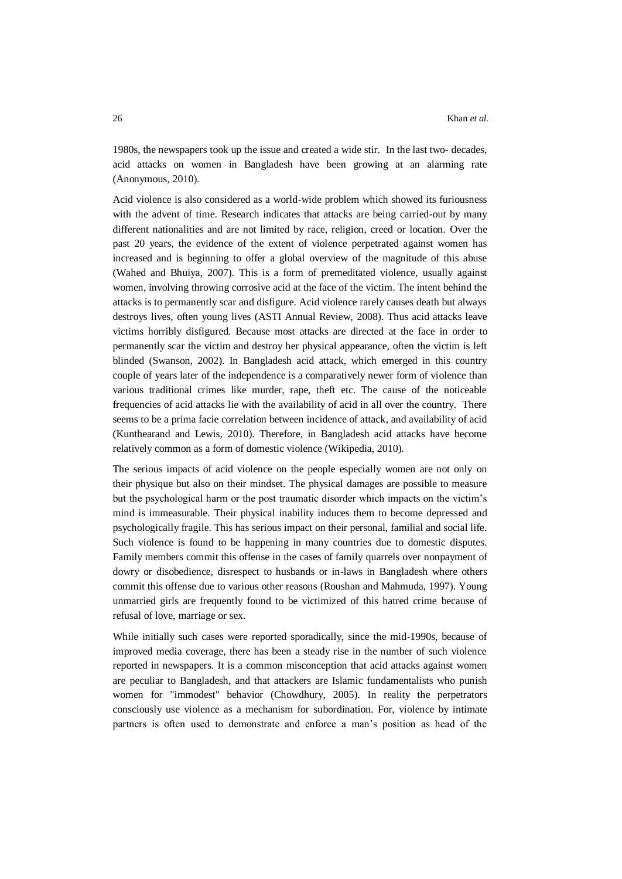1980s, the newspapers took up the issue and created a wide stir. In the last two- decades, acid attacks on women in Bangladesh have been growing at an alarming rate (Anonymous, 2010).

Acid violence is also considered as a world-wide problem which showed its furiousness with the advent of time. Research indicates that attacks are being carried-out by many different nationalities and are not limited by race, religion, creed or location. Over the past 20 years, the evidence of the extent of violence perpetrated against women has increased and is beginning to offer a global overview of the magnitude of this abuse (Wahed and Bhuiya, 2007). This is a form of premeditated violence, usually against women, involving throwing corrosive acid at the face of the victim. The intent behind the attacks is to permanently scar and disfigure. Acid violence rarely causes death but always destroys lives, often young lives (ASTI Annual Review, 2008). Thus acid attacks leave victims horribly disfigured. Because most attacks are directed at the face in order to permanently scar the victim and destroy her physical appearance, often the victim is left blinded (Swanson, 2002). In Bangladesh acid attack, which emerged in this country couple of years later of the independence is a comparatively newer form of violence than various traditional crimes like murder, rape, theft etc. The cause of the noticeable frequencies of acid attacks lie with the availability of acid in all over the country. There seems to be a prima facie correlation between incidence of attack, and availability of acid (Kunthearand and Lewis, 2010). Therefore, in Bangladesh acid attacks have become relatively common as a form of domestic violence (Wikipedia, 2010).

The serious impacts of acid violence on the people especially women are not only on their physique but also on their mindset. The physical damages are possible to measure but the psychological harm or the post traumatic disorder which impacts on the victim's mind is immeasurable. Their physical inability induces them to become depressed and psychologically fragile. This has serious impact on their personal, familial and social life. Such violence is found to be happening in many countries due to domestic disputes. Family members commit this offense in the cases of family quarrels over nonpayment of dowry or disobedience, disrespect to husbands or in-laws in Bangladesh where others commit this offense due to various other reasons (Roushan and Mahmuda, 1997). Young unmarried girls are frequently found to be victimized of this hatred crime because of refusal of love, marriage or sex.

While initially such cases were reported sporadically, since the mid-1990s, because of improved media coverage, there has been a steady rise in the number of such violence reported in newspapers. It is a common misconception that acid attacks against women are peculiar to Bangladesh, and that attackers are Islamic fundamentalists who punish women for "immodest" behavior (Chowdhury, 2005). In reality the perpetrators consciously use violence as a mechanism for subordination. For, violence by intimate partners is often used to demonstrate and enforce a man's position as head of the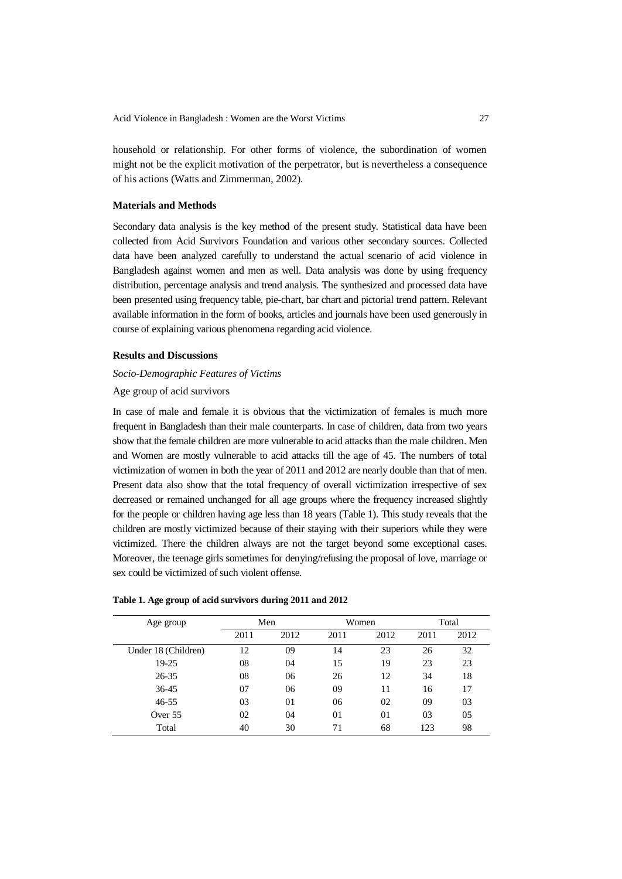household or relationship. For other forms of violence, the subordination of women might not be the explicit motivation of the perpetrator, but is nevertheless a consequence of his actions (Watts and Zimmerman, 2002).

### **Materials and Methods**

Secondary data analysis is the key method of the present study. Statistical data have been collected from Acid Survivors Foundation and various other secondary sources. Collected data have been analyzed carefully to understand the actual scenario of acid violence in Bangladesh against women and men as well. Data analysis was done by using frequency distribution, percentage analysis and trend analysis. The synthesized and processed data have been presented using frequency table, pie-chart, bar chart and pictorial trend pattern. Relevant available information in the form of books, articles and journals have been used generously in course of explaining various phenomena regarding acid violence.

### **Results and Discussions**

# *Socio-Demographic Features of Victims*

Age group of acid survivors

In case of male and female it is obvious that the victimization of females is much more frequent in Bangladesh than their male counterparts. In case of children, data from two years show that the female children are more vulnerable to acid attacks than the male children. Men and Women are mostly vulnerable to acid attacks till the age of 45. The numbers of total victimization of women in both the year of 2011 and 2012 are nearly double than that of men. Present data also show that the total frequency of overall victimization irrespective of sex decreased or remained unchanged for all age groups where the frequency increased slightly for the people or children having age less than 18 years (Table 1). This study reveals that the children are mostly victimized because of their staying with their superiors while they were victimized. There the children always are not the target beyond some exceptional cases. Moreover, the teenage girls sometimes for denying/refusing the proposal of love, marriage or sex could be victimized of such violent offense.

| Age group           | Men  |      |      | Women | Total |      |  |
|---------------------|------|------|------|-------|-------|------|--|
|                     | 2011 | 2012 | 2011 | 2012  | 2011  | 2012 |  |
| Under 18 (Children) | 12   | 09   | 14   | 23    | 26    | 32   |  |
| 19-25               | 08   | 04   | 15   | 19    | 23    | 23   |  |
| 26-35               | 08   | 06   | 26   | 12    | 34    | 18   |  |
| $36-45$             | 07   | 06   | 09   | 11    | 16    | 17   |  |
| $46 - 55$           | 03   | 01   | 06   | 02    | 09    | 03   |  |
| Over 55             | 02   | 04   | 01   | 01    | 03    | 05   |  |
| Total               | 40   | 30   | 71   | 68    | 123   | 98   |  |

#### **Table 1. Age group of acid survivors during 2011 and 2012**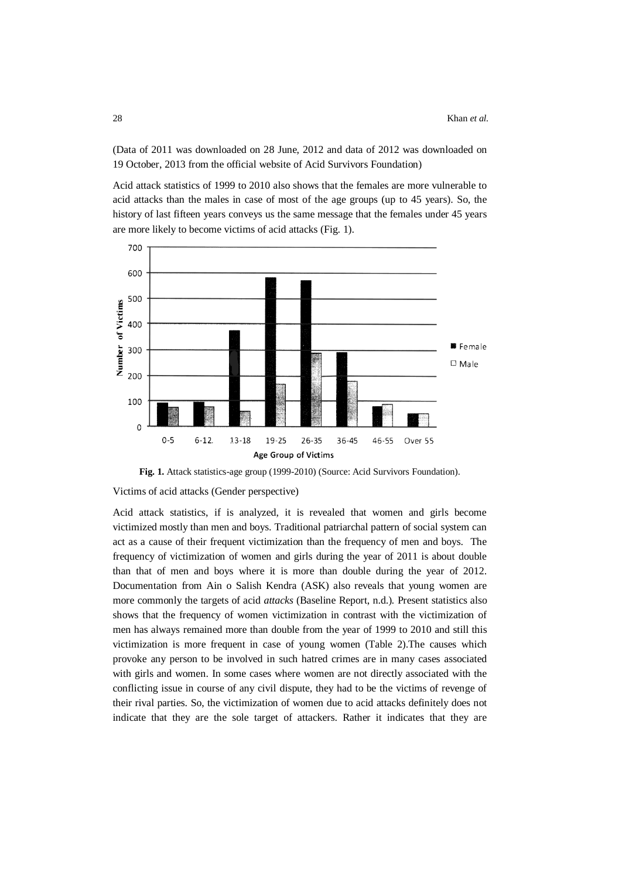(Data of 2011 was downloaded on 28 June, 2012 and data of 2012 was downloaded on 19 October, 2013 from the official website of Acid Survivors Foundation)

Acid attack statistics of 1999 to 2010 also shows that the females are more vulnerable to acid attacks than the males in case of most of the age groups (up to 45 years). So, the history of last fifteen years conveys us the same message that the females under 45 years are more likely to become victims of acid attacks (Fig. 1).



**Fig. 1.** Attack statistics-age group (1999-2010) (Source: Acid Survivors Foundation).

Victims of acid attacks (Gender perspective)

Acid attack statistics, if is analyzed, it is revealed that women and girls become victimized mostly than men and boys. Traditional patriarchal pattern of social system can act as a cause of their frequent victimization than the frequency of men and boys. The frequency of victimization of women and girls during the year of 2011 is about double than that of men and boys where it is more than double during the year of 2012. Documentation from Ain o Salish Kendra (ASK) also reveals that young women are more commonly the targets of acid *attacks* (Baseline Report, n.d.)*.* Present statistics also shows that the frequency of women victimization in contrast with the victimization of men has always remained more than double from the year of 1999 to 2010 and still this victimization is more frequent in case of young women (Table 2).The causes which provoke any person to be involved in such hatred crimes are in many cases associated with girls and women. In some cases where women are not directly associated with the conflicting issue in course of any civil dispute, they had to be the victims of revenge of their rival parties. So, the victimization of women due to acid attacks definitely does not indicate that they are the sole target of attackers. Rather it indicates that they are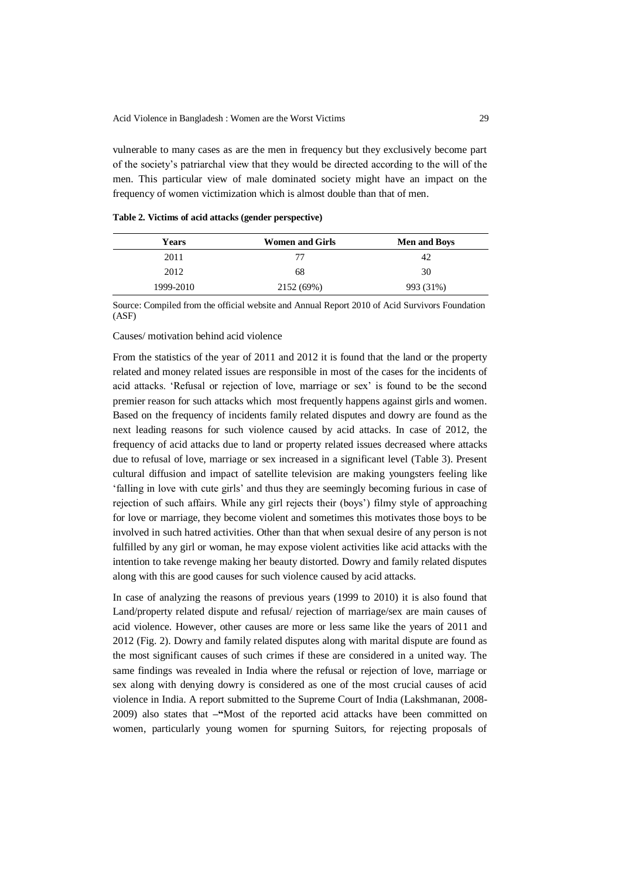vulnerable to many cases as are the men in frequency but they exclusively become part of the society's patriarchal view that they would be directed according to the will of the men. This particular view of male dominated society might have an impact on the frequency of women victimization which is almost double than that of men.

| <b>Years</b> | <b>Women and Girls</b> | <b>Men and Boys</b> |
|--------------|------------------------|---------------------|
| 2011         | 77                     | 42                  |
| 2012         | 68                     | 30                  |
| 1999-2010    | 2152 (69%)             | 993 (31%)           |

**Table 2. Victims of acid attacks (gender perspective)**

Source: Compiled from the official website and Annual Report 2010 of Acid Survivors Foundation (ASF)

### Causes/ motivation behind acid violence

From the statistics of the year of 2011 and 2012 it is found that the land or the property related and money related issues are responsible in most of the cases for the incidents of acid attacks. 'Refusal or rejection of love, marriage or sex' is found to be the second premier reason for such attacks which most frequently happens against girls and women. Based on the frequency of incidents family related disputes and dowry are found as the next leading reasons for such violence caused by acid attacks. In case of 2012, the frequency of acid attacks due to land or property related issues decreased where attacks due to refusal of love, marriage or sex increased in a significant level (Table 3). Present cultural diffusion and impact of satellite television are making youngsters feeling like 'falling in love with cute girls' and thus they are seemingly becoming furious in case of rejection of such affairs. While any girl rejects their (boys') filmy style of approaching for love or marriage, they become violent and sometimes this motivates those boys to be involved in such hatred activities. Other than that when sexual desire of any person is not fulfilled by any girl or woman, he may expose violent activities like acid attacks with the intention to take revenge making her beauty distorted. Dowry and family related disputes along with this are good causes for such violence caused by acid attacks.

In case of analyzing the reasons of previous years (1999 to 2010) it is also found that Land/property related dispute and refusal/ rejection of marriage/sex are main causes of acid violence. However, other causes are more or less same like the years of 2011 and 2012 (Fig. 2). Dowry and family related disputes along with marital dispute are found as the most significant causes of such crimes if these are considered in a united way. The same findings was revealed in India where the refusal or rejection of love, marriage or sex along with denying dowry is considered as one of the most crucial causes of acid violence in India. A report submitted to the Supreme Court of India (Lakshmanan, 2008- 2009) also states that **–"**Most of the reported acid attacks have been committed on women, particularly young women for spurning Suitors, for rejecting proposals of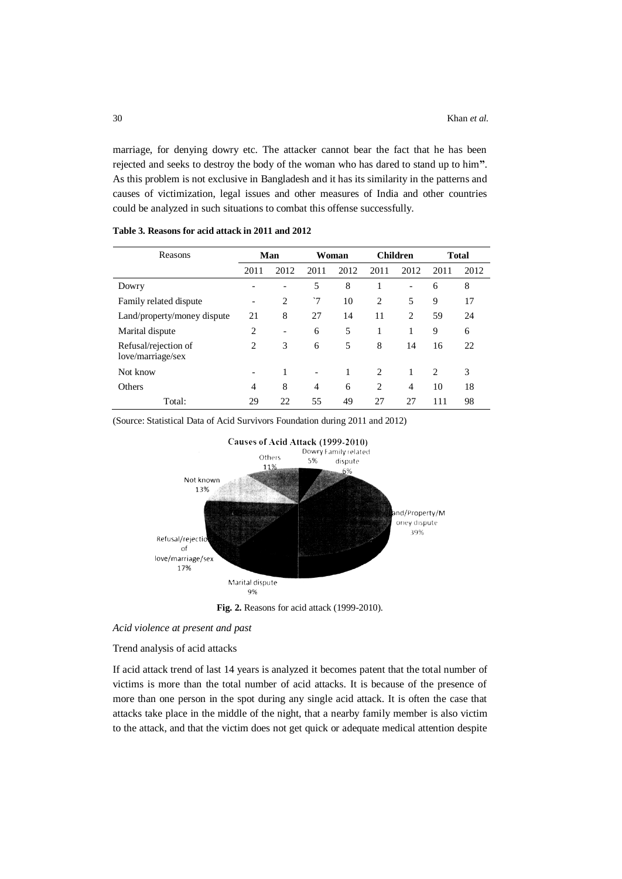marriage, for denying dowry etc. The attacker cannot bear the fact that he has been rejected and seeks to destroy the body of the woman who has dared to stand up to him**"**. As this problem is not exclusive in Bangladesh and it has its similarity in the patterns and causes of victimization, legal issues and other measures of India and other countries could be analyzed in such situations to combat this offense successfully.

| Reasons                                   | Man            |                 | Woman                    |      | <b>Children</b> |                | <b>Total</b> |      |
|-------------------------------------------|----------------|-----------------|--------------------------|------|-----------------|----------------|--------------|------|
|                                           | 2011           | 2012            | 2011                     | 2012 | 2011            | 2012           | 2011         | 2012 |
| Dowry                                     |                |                 | 5                        | 8    |                 | $\overline{a}$ | 6            | 8    |
| Family related dispute                    | -              | $\overline{c}$  | ~7                       | 10   | 2               | 5              | 9            | 17   |
| Land/property/money dispute               | 21             | 8               | 27                       | 14   | 11              | 2              | 59           | 24   |
| Marital dispute                           | $\overline{c}$ | $\qquad \qquad$ | 6                        | 5    |                 | 1              | 9            | 6    |
| Refusal/rejection of<br>love/marriage/sex | 2              | 3               | 6                        | 5    | 8               | 14             | 16           | 22   |
| Not know                                  |                | 1               | $\overline{\phantom{0}}$ |      | 2               | 1              | 2            | 3    |
| Others                                    | 4              | 8               | $\overline{4}$           | 6    | 2               | $\overline{4}$ | 10           | 18   |
| Total:                                    | 29             | 22              | 55                       | 49   | 27              | 27             | 111          | 98   |

**Table 3. Reasons for acid attack in 2011 and 2012**

(Source: Statistical Data of Acid Survivors Foundation during 2011 and 2012)



**Fig. 2.** Reasons for acid attack (1999-2010).

*Acid violence at present and past*

Trend analysis of acid attacks

If acid attack trend of last 14 years is analyzed it becomes patent that the total number of victims is more than the total number of acid attacks. It is because of the presence of more than one person in the spot during any single acid attack. It is often the case that attacks take place in the middle of the night, that a nearby family member is also victim to the attack, and that the victim does not get quick or adequate medical attention despite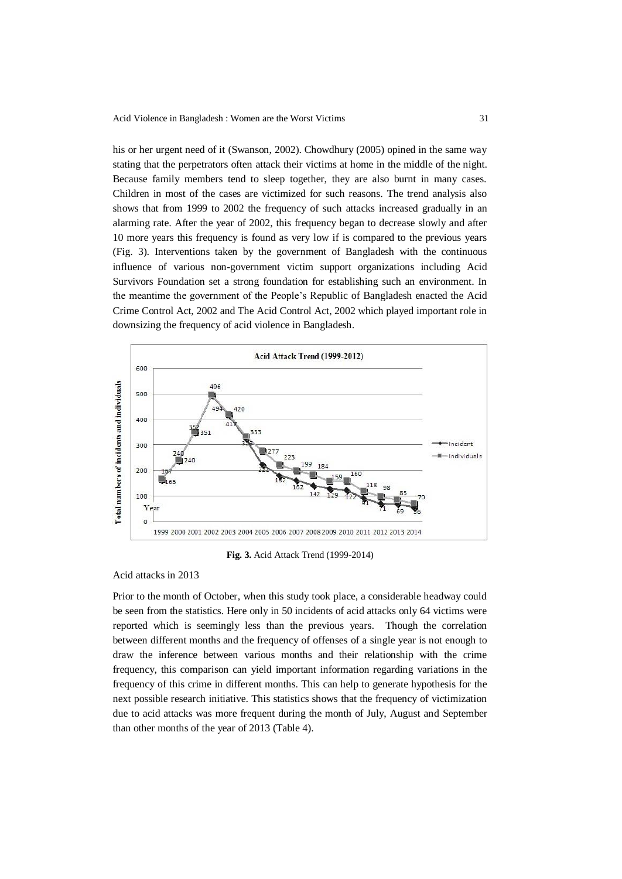his or her urgent need of it (Swanson, 2002). Chowdhury (2005) opined in the same way stating that the perpetrators often attack their victims at home in the middle of the night. Because family members tend to sleep together, they are also burnt in many cases. Children in most of the cases are victimized for such reasons. The trend analysis also shows that from 1999 to 2002 the frequency of such attacks increased gradually in an alarming rate. After the year of 2002, this frequency began to decrease slowly and after 10 more years this frequency is found as very low if is compared to the previous years (Fig. 3). Interventions taken by the government of Bangladesh with the continuous influence of various non-government victim support organizations including Acid Survivors Foundation set a strong foundation for establishing such an environment. In the meantime the government of the People's Republic of Bangladesh enacted the Acid Crime Control Act, 2002 and The Acid Control Act, 2002 which played important role in downsizing the frequency of acid violence in Bangladesh.



**Fig. 3.** Acid Attack Trend (1999-2014)

Acid attacks in 2013

Prior to the month of October, when this study took place, a considerable headway could be seen from the statistics. Here only in 50 incidents of acid attacks only 64 victims were reported which is seemingly less than the previous years. Though the correlation between different months and the frequency of offenses of a single year is not enough to draw the inference between various months and their relationship with the crime frequency, this comparison can yield important information regarding variations in the frequency of this crime in different months. This can help to generate hypothesis for the next possible research initiative. This statistics shows that the frequency of victimization due to acid attacks was more frequent during the month of July, August and September than other months of the year of 2013 (Table 4).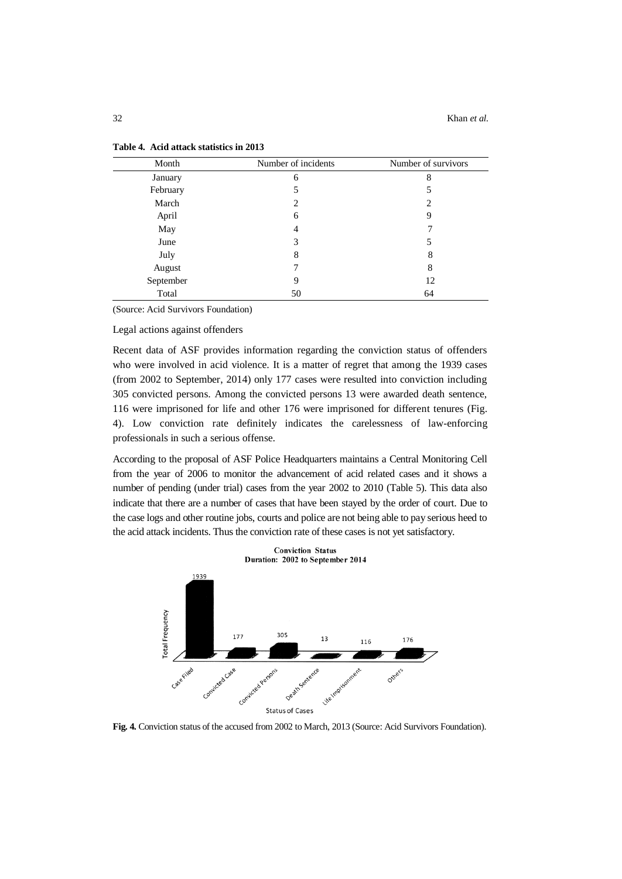| Month     | Number of incidents | Number of survivors |  |  |
|-----------|---------------------|---------------------|--|--|
| January   | 6                   | 8                   |  |  |
| February  | 5                   |                     |  |  |
| March     | $\overline{c}$      | 2                   |  |  |
| April     | 6                   | 9                   |  |  |
| May       | 4                   |                     |  |  |
| June      | 3                   | 5                   |  |  |
| July      | 8                   | 8                   |  |  |
| August    | ⇁                   | 8                   |  |  |
| September | 9                   | 12                  |  |  |
| Total     | 50                  | 64                  |  |  |

| Table 4. Acid attack statistics in 2013 |
|-----------------------------------------|
|-----------------------------------------|

(Source: Acid Survivors Foundation)

Legal actions against offenders

Recent data of ASF provides information regarding the conviction status of offenders who were involved in acid violence. It is a matter of regret that among the 1939 cases (from 2002 to September, 2014) only 177 cases were resulted into conviction including 305 convicted persons. Among the convicted persons 13 were awarded death sentence, 116 were imprisoned for life and other 176 were imprisoned for different tenures (Fig. 4). Low conviction rate definitely indicates the carelessness of law-enforcing professionals in such a serious offense.

According to the proposal of ASF Police Headquarters maintains a Central Monitoring Cell from the year of 2006 to monitor the advancement of acid related cases and it shows a number of pending (under trial) cases from the year 2002 to 2010 (Table 5). This data also indicate that there are a number of cases that have been stayed by the order of court. Due to the case logs and other routine jobs, courts and police are not being able to pay serious heed to the acid attack incidents. Thus the conviction rate of these cases is not yet satisfactory.



**Fig. 4.** Conviction status of the accused from 2002 to March, 2013 (Source: Acid Survivors Foundation).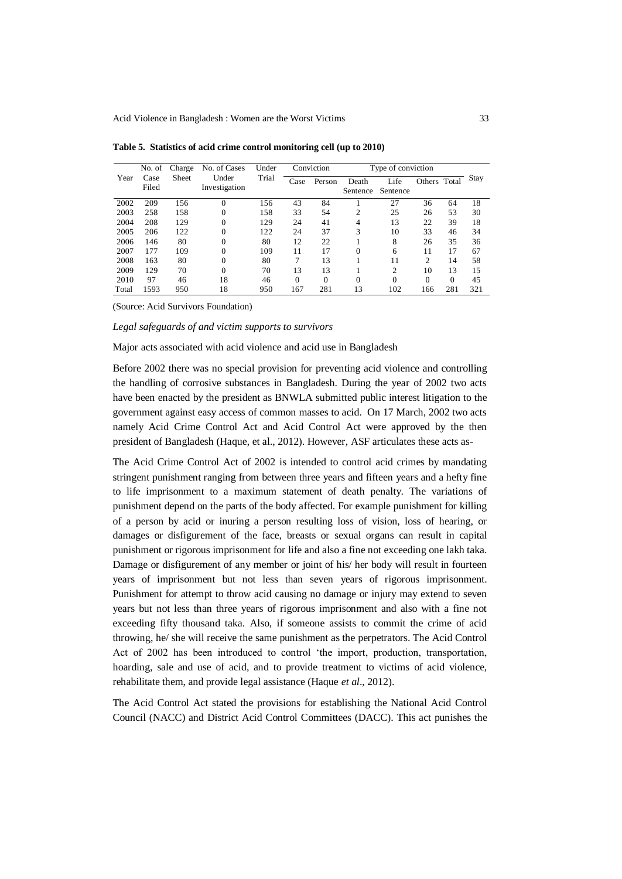|       | No. of        | Charge       | No. of Cases           |       | Conviction<br>Under |          |                   | Type of conviction |                |          |             |
|-------|---------------|--------------|------------------------|-------|---------------------|----------|-------------------|--------------------|----------------|----------|-------------|
| Year  | Case<br>Filed | <b>Sheet</b> | Under<br>Investigation | Trial | Case                | Person   | Death<br>Sentence | Life<br>Sentence   | Others Total   |          | <b>Stay</b> |
| 2002  | 209           | 156          | $\theta$               | 156   | 43                  | 84       |                   | 27                 | 36             | 64       | 18          |
| 2003  | 258           | 158          | $\theta$               | 158   | 33                  | 54       | $\overline{2}$    | 25                 | 26             | 53       | 30          |
| 2004  | 208           | 129          | $\Omega$               | 129   | 24                  | 41       | 4                 | 13                 | 22             | 39       | 18          |
| 2005  | 206           | 122          | $\theta$               | 122   | 24                  | 37       | 3                 | 10                 | 33             | 46       | 34          |
| 2006  | 146           | 80           | $\Omega$               | 80    | 12                  | 22       |                   | 8                  | 26             | 35       | 36          |
| 2007  | 177           | 109          | $\theta$               | 109   | 11                  | 17       | 0                 | 6                  | 11             | 17       | 67          |
| 2008  | 163           | 80           | $\theta$               | 80    | 7                   | 13       |                   | 11                 | $\overline{c}$ | 14       | 58          |
| 2009  | 129           | 70           | $\theta$               | 70    | 13                  | 13       |                   | $\overline{c}$     | 10             | 13       | 15          |
| 2010  | 97            | 46           | 18                     | 46    | $\theta$            | $\Omega$ | 0                 | 0                  | $\Omega$       | $\Omega$ | 45          |
| Total | 1593          | 950          | 18                     | 950   | 167                 | 281      | 13                | 102                | 166            | 281      | 321         |

**Table 5. Statistics of acid crime control monitoring cell (up to 2010)**

(Source: Acid Survivors Foundation)

*Legal safeguards of and victim supports to survivors*

Major acts associated with acid violence and acid use in Bangladesh

Before 2002 there was no special provision for preventing acid violence and controlling the handling of corrosive substances in Bangladesh. During the year of 2002 two acts have been enacted by the president as BNWLA submitted public interest litigation to the government against easy access of common masses to acid. On 17 March, 2002 two acts namely Acid Crime Control Act and Acid Control Act were approved by the then president of Bangladesh (Haque, et al., 2012). However, ASF articulates these acts as-

The Acid Crime Control Act of 2002 is intended to control acid crimes by mandating stringent punishment ranging from between three years and fifteen years and a hefty fine to life imprisonment to a maximum statement of death penalty. The variations of punishment depend on the parts of the body affected. For example punishment for killing of a person by acid or inuring a person resulting loss of vision, loss of hearing, or damages or disfigurement of the face, breasts or sexual organs can result in capital punishment or rigorous imprisonment for life and also a fine not exceeding one lakh taka. Damage or disfigurement of any member or joint of his/ her body will result in fourteen years of imprisonment but not less than seven years of rigorous imprisonment. Punishment for attempt to throw acid causing no damage or injury may extend to seven years but not less than three years of rigorous imprisonment and also with a fine not exceeding fifty thousand taka. Also, if someone assists to commit the crime of acid throwing, he/ she will receive the same punishment as the perpetrators. The Acid Control Act of 2002 has been introduced to control 'the import, production, transportation, hoarding, sale and use of acid, and to provide treatment to victims of acid violence, rehabilitate them, and provide legal assistance (Haque *et al*., 2012).

The Acid Control Act stated the provisions for establishing the National Acid Control Council (NACC) and District Acid Control Committees (DACC). This act punishes the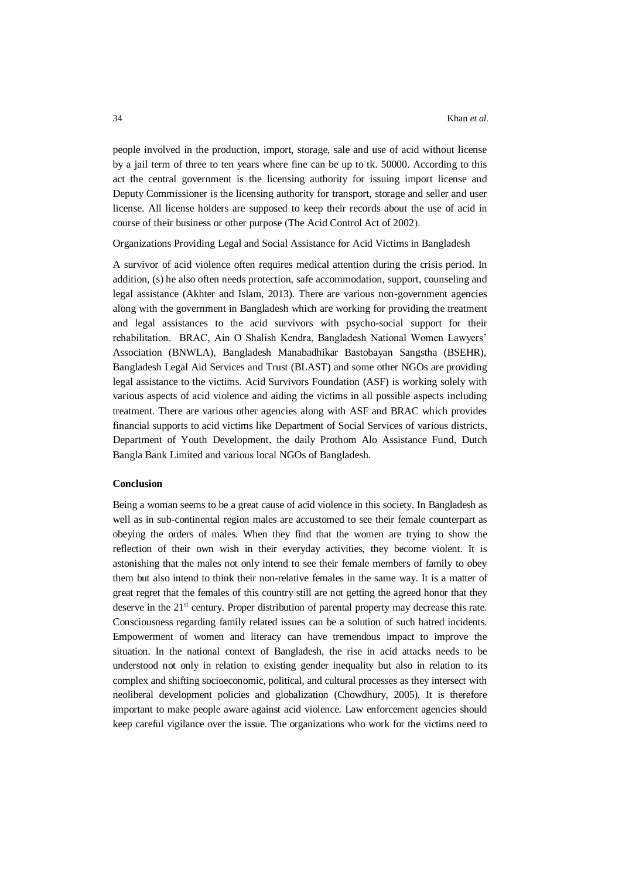people involved in the production, import, storage, sale and use of acid without license by a jail term of three to ten years where fine can be up to tk. 50000. According to this act the central government is the licensing authority for issuing import license and Deputy Commissioner is the licensing authority for transport, storage and seller and user license. All license holders are supposed to keep their records about the use of acid in course of their business or other purpose (The Acid Control Act of 2002).

Organizations Providing Legal and Social Assistance for Acid Victims in Bangladesh

A survivor of acid violence often requires medical attention during the crisis period. In addition, (s) he also often needs protection, safe accommodation, support, counseling and legal assistance (Akhter and Islam, 2013). There are various non-government agencies along with the government in Bangladesh which are working for providing the treatment and legal assistances to the acid survivors with psycho-social support for their rehabilitation. BRAC, Ain O Shalish Kendra, Bangladesh National Women Lawyers' Association (BNWLA), Bangladesh Manabadhikar Bastobayan Sangstha (BSEHR), Bangladesh Legal Aid Services and Trust (BLAST) and some other NGOs are providing legal assistance to the victims. Acid Survivors Foundation (ASF) is working solely with various aspects of acid violence and aiding the victims in all possible aspects including treatment. There are various other agencies along with ASF and BRAC which provides financial supports to acid victims like Department of Social Services of various districts, Department of Youth Development, the daily Prothom Alo Assistance Fund, Dutch Bangla Bank Limited and various local NGOs of Bangladesh.

### **Conclusion**

Being a woman seems to be a great cause of acid violence in this society. In Bangladesh as well as in sub-continental region males are accustomed to see their female counterpart as obeying the orders of males. When they find that the women are trying to show the reflection of their own wish in their everyday activities, they become violent. It is astonishing that the males not only intend to see their female members of family to obey them but also intend to think their non-relative females in the same way. It is a matter of great regret that the females of this country still are not getting the agreed honor that they deserve in the 21<sup>st</sup> century. Proper distribution of parental property may decrease this rate. Consciousness regarding family related issues can be a solution of such hatred incidents. Empowerment of women and literacy can have tremendous impact to improve the situation. In the national context of Bangladesh, the rise in acid attacks needs to be understood not only in relation to existing gender inequality but also in relation to its complex and shifting socioeconomic, political, and cultural processes as they intersect with neoliberal development policies and globalization (Chowdhury, 2005). It is therefore important to make people aware against acid violence. Law enforcement agencies should keep careful vigilance over the issue. The organizations who work for the victims need to